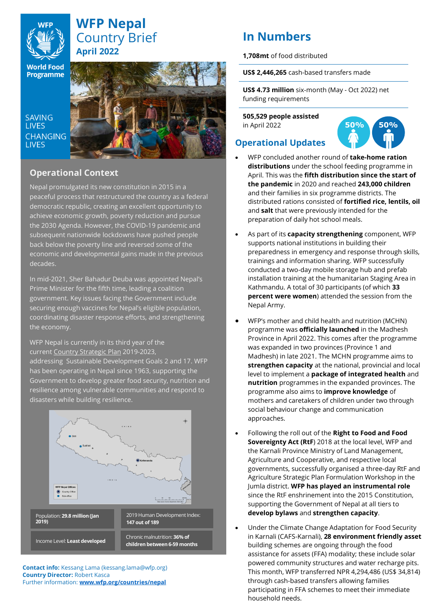

# **WFP Nepal** Country Brief **April 2022**

**World Food** Programme

**SAVING LIVES CHANGING LIVES** 



## **Operational Context**

Nepal promulgated its new constitution in 2015 in a peaceful process that restructured the country as a federal democratic republic, creating an excellent opportunity to achieve economic growth, poverty reduction and pursue the 2030 Agenda. However, the COVID-19 pandemic and subsequent nationwide lockdowns have pushed people back below the poverty line and reversed some of the economic and developmental gains made in the previous decades.

In mid-2021, Sher Bahadur Deuba was appointed Nepal's Prime Minister for the fifth time, leading a coalition government. Key issues facing the Government include securing enough vaccines for Nepal's eligible population, coordinating disaster response efforts, and strengthening the economy.

WFP Nepal is currently in its third year of the current Country [Strategic](https://docs.wfp.org/api/documents/9e280ff2cc1846ba85108050995de293/download/?_ga=2.147206071.1828319188.1630991044-1081171790.1566295167) Plan 2019-2023, addressing Sustainable Development Goals 2 and 17. WFP has been operating in Nepal since 1963, supporting the Government to develop greater food security, nutrition and resilience among vulnerable communities and respond to disasters while building resilience.



**Contact info:** Kessang Lama (kessang.lama@wfp.org) **Country Director:** Robert Kasca Further information: **[www.wfp.org/countries/nepal](http://www.wfp.org/countries/nepal)**

# **In Numbers**

**1,708mt** of food distributed

**US\$ 2,446,265** cash-based transfers made

**US\$ 4.73 million** six-month (May - Oct 2022) net funding requirements

**505,529 people assisted** in April 2022



# **Operational Updates**

- WFP concluded another round of **take-home ration distributions** under the school feeding programme in April. This was the **fifth distribution since the start of the pandemic** in 2020 and reached **243,000 children** and their families in six programme districts. The distributed rations consisted of **fortified rice, lentils, oil**  and **salt** that were previously intended for the preparation of daily hot school meals.
- As part of its **capacity strengthening** component, WFP supports national institutions in building their preparedness in emergency and response through skills, trainings and information sharing. WFP successfully conducted a two-day mobile storage hub and prefab installation training at the humanitarian Staging Area in Kathmandu. A total of 30 participants (of which **33 percent were women**) attended the session from the Nepal Army.
- WFP's mother and child health and nutrition (MCHN) programme was **officially launched** in the Madhesh Province in April 2022. This comes after the programme was expanded in two provinces (Province 1 and Madhesh) in late 2021. The MCHN programme aims to **strengthen capacity** at the national, provincial and local level to implement a **package of integrated health** and **nutrition** programmes in the expanded provinces. The programme also aims to **improve knowledge** of mothers and caretakers of children under two through social behaviour change and communication approaches.
- Following the roll out of the **Right to Food and Food Sovereignty Act (RtF**) 2018 at the local level, WFP and the Karnali Province Ministry of Land Management, Agriculture and Cooperative, and respective local governments, successfully organised a three-day RtF and Agriculture Strategic Plan Formulation Workshop in the Jumla district. **WFP has played an instrumental role** since the RtF enshrinement into the 2015 Constitution, supporting the Government of Nepal at all tiers to **develop bylaws** and **strengthen capacity**.
- Under the Climate Change Adaptation for Food Security in Karnali (CAFS-Karnali), **28 environment friendly asset** building schemes are ongoing through the food assistance for assets (FFA) modality; these include solar powered community structures and water recharge pits. This month, WFP transferred NPR 4,294,486 (US\$ 34,814) through cash-based transfers allowing families participating in FFA schemes to meet their immediate household needs.